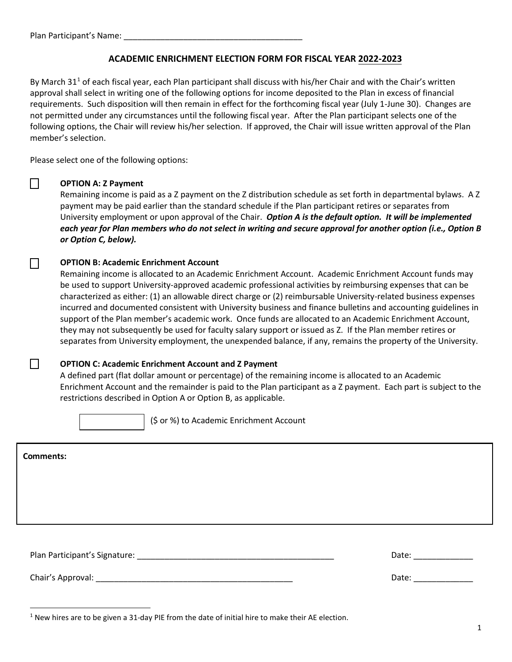## **ACADEMIC ENRICHMENT ELECTION FORM FOR FISCAL YEAR 2022-2023**

By March 3[1](#page-0-0)<sup>1</sup> of each fiscal year, each Plan participant shall discuss with his/her Chair and with the Chair's written approval shall select in writing one of the following options for income deposited to the Plan in excess of financial requirements. Such disposition will then remain in effect for the forthcoming fiscal year (July 1-June 30). Changes are not permitted under any circumstances until the following fiscal year. After the Plan participant selects one of the following options, the Chair will review his/her selection. If approved, the Chair will issue written approval of the Plan member's selection.

Please select one of the following options:

#### ☐ **OPTION A: Z Payment**

Remaining income is paid as a Z payment on the Z distribution schedule as set forth in departmental bylaws. A Z payment may be paid earlier than the standard schedule if the Plan participant retires or separates from University employment or upon approval of the Chair. *Option A is the default option. It will be implemented each year for Plan members who do not select in writing and secure approval for another option (i.e., Option B or Option C, below).*

### ☐ **OPTION B: Academic Enrichment Account**

Remaining income is allocated to an Academic Enrichment Account. Academic Enrichment Account funds may be used to support University-approved academic professional activities by reimbursing expenses that can be characterized as either: (1) an allowable direct charge or (2) reimbursable University-related business expenses incurred and documented consistent with University business and finance bulletins and accounting guidelines in support of the Plan member's academic work. Once funds are allocated to an Academic Enrichment Account, they may not subsequently be used for faculty salary support or issued as Z. If the Plan member retires or separates from University employment, the unexpended balance, if any, remains the property of the University.

### ☐ **OPTION C: Academic Enrichment Account and Z Payment**

A defined part (flat dollar amount or percentage) of the remaining income is allocated to an Academic Enrichment Account and the remainder is paid to the Plan participant as a Z payment. Each part is subject to the restrictions described in Option A or Option B, as applicable.

(\$ or %) to Academic Enrichment Account

Plan Participant's Signature: \_\_\_\_\_\_\_\_\_\_\_\_\_\_\_\_\_\_\_\_\_\_\_\_\_\_\_\_\_\_\_\_\_\_\_\_\_\_\_\_\_\_\_ Date: \_\_\_\_\_\_\_\_\_\_\_\_\_ Chair's Approval: \_\_\_\_\_\_\_\_\_\_\_\_\_\_\_\_\_\_\_\_\_\_\_\_\_\_\_\_\_\_\_\_\_\_\_\_\_\_\_\_\_\_\_ Date: \_\_\_\_\_\_\_\_\_\_\_\_\_ **Comments:**

<span id="page-0-0"></span> $1$  New hires are to be given a 31-day PIE from the date of initial hire to make their AE election.